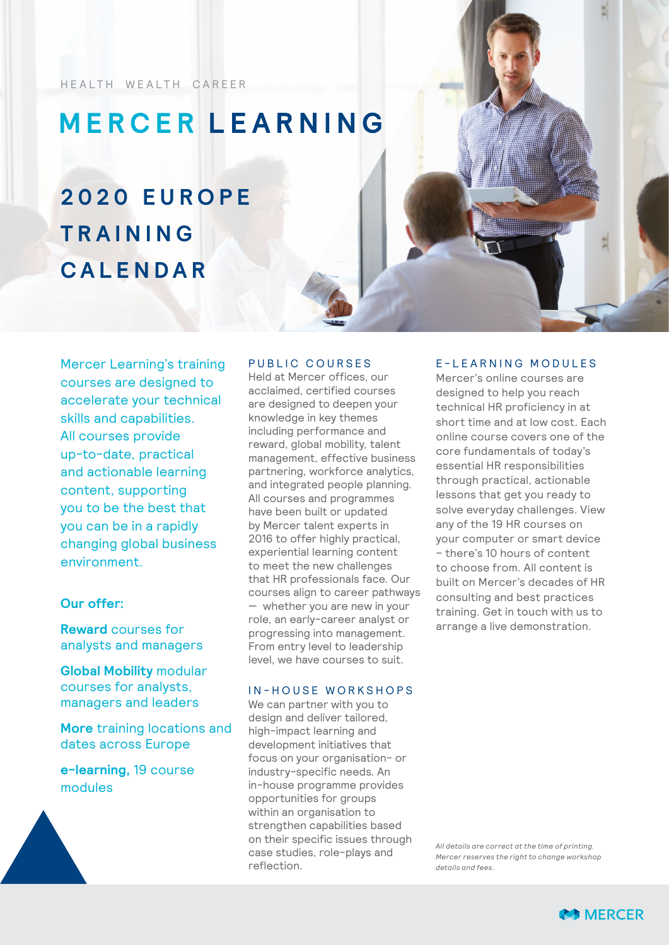HEALTH WEALTH CAREER

## **MERCER LEARNING**

# **2 0 2 0 E U R O P E TRAINING CALENDAR**

Mercer Learning's training courses are designed to accelerate your technical skills and capabilities. All courses provide up-to-date, practical and actionable learning content, supporting you to be the best that you can be in a rapidly changing global business environment.

### **Our offer:**

**Reward** courses for analysts and managers

**Global Mobility** modular courses for analysts, managers and leaders

**More** training locations and dates across Europe

**e-learning,** 19 course modules

#### PUBLIC COURSES

Held at Mercer offices, our acclaimed, certified courses are designed to deepen your knowledge in key themes including performance and reward, global mobility, talent management, effective business partnering, workforce analytics, and integrated people planning. All courses and programmes have been built or updated by Mercer talent experts in 2016 to offer highly practical, experiential learning content to meet the new challenges that HR professionals face. Our courses align to career pathways — whether you are new in your role, an early-career analyst or progressing into management. From entry level to leadership level, we have courses to suit.

#### IN-HOUSE WORKSHOPS

We can partner with you to design and deliver tailored, high-impact learning and development initiatives that focus on your organisation- or industry-specific needs. An in-house programme provides opportunities for groups within an organisation to strengthen capabilities based on their specific issues through case studies, role-plays and reflection.

#### E - L E A R N I N G M O D U L E S

Mercer's online courses are designed to help you reach technical HR proficiency in at short time and at low cost. Each online course covers one of the core fundamentals of today's essential HR responsibilities through practical, actionable lessons that get you ready to solve everyday challenges. View any of the 19 HR courses on your computer or smart device – there's 10 hours of content to choose from. All content is built on Mercer's decades of HR consulting and best practices training. Get in touch with us to arrange a live demonstration.

*All details are correct at the time of printing. Mercer reserves the right to change workshop details and fees.*

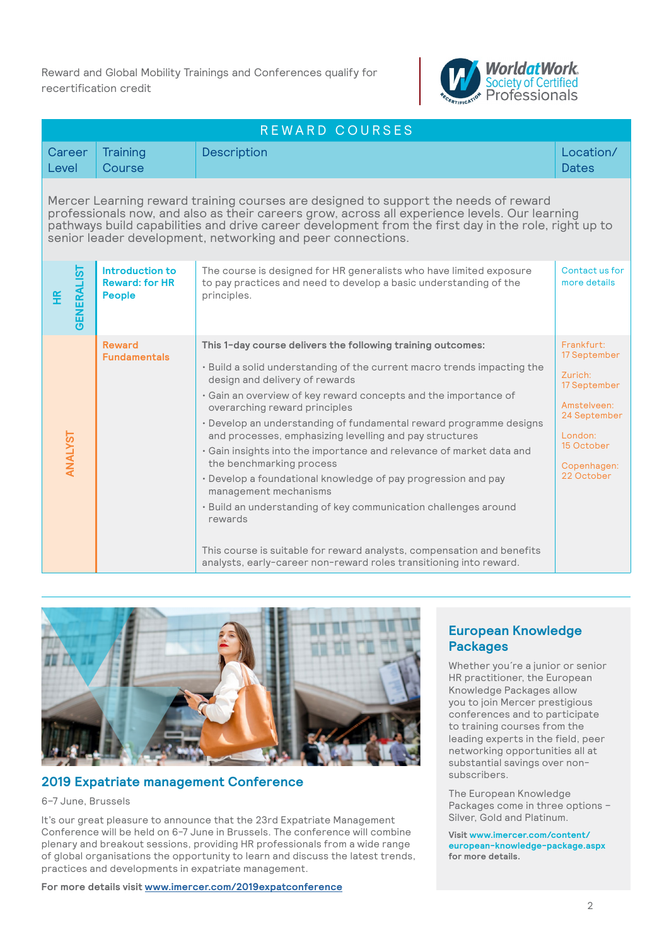Reward and Global Mobility Trainings and Conferences qualify for recertification credit



| REWARD COURSES                                                                                                                                                                                                                                                                                                                                              |                                                           |                                                                                                                                                                                                                                                                                                                                                                                                                                                                                                                                                                                                                                                                                                                                                                                                                                           |                                                                                                                                            |
|-------------------------------------------------------------------------------------------------------------------------------------------------------------------------------------------------------------------------------------------------------------------------------------------------------------------------------------------------------------|-----------------------------------------------------------|-------------------------------------------------------------------------------------------------------------------------------------------------------------------------------------------------------------------------------------------------------------------------------------------------------------------------------------------------------------------------------------------------------------------------------------------------------------------------------------------------------------------------------------------------------------------------------------------------------------------------------------------------------------------------------------------------------------------------------------------------------------------------------------------------------------------------------------------|--------------------------------------------------------------------------------------------------------------------------------------------|
| Career<br>Level                                                                                                                                                                                                                                                                                                                                             | Training<br>Course                                        | <b>Description</b>                                                                                                                                                                                                                                                                                                                                                                                                                                                                                                                                                                                                                                                                                                                                                                                                                        | Location/<br><b>Dates</b>                                                                                                                  |
| Mercer Learning reward training courses are designed to support the needs of reward<br>professionals now, and also as their careers grow, across all experience levels. Our learning<br>pathways build capabilities and drive career development from the first day in the role, right up to<br>senior leader development, networking and peer connections. |                                                           |                                                                                                                                                                                                                                                                                                                                                                                                                                                                                                                                                                                                                                                                                                                                                                                                                                           |                                                                                                                                            |
| <b>GENERALIST</b><br>£                                                                                                                                                                                                                                                                                                                                      | Introduction to<br><b>Reward: for HR</b><br><b>People</b> | The course is designed for HR generalists who have limited exposure<br>to pay practices and need to develop a basic understanding of the<br>principles.                                                                                                                                                                                                                                                                                                                                                                                                                                                                                                                                                                                                                                                                                   | Contact us for<br>more details                                                                                                             |
| ANALYST                                                                                                                                                                                                                                                                                                                                                     | <b>Reward</b><br><b>Fundamentals</b>                      | This 1-day course delivers the following training outcomes:<br>· Build a solid understanding of the current macro trends impacting the<br>design and delivery of rewards<br>· Gain an overview of key reward concepts and the importance of<br>overarching reward principles<br>· Develop an understanding of fundamental reward programme designs<br>and processes, emphasizing levelling and pay structures<br>• Gain insights into the importance and relevance of market data and<br>the benchmarking process<br>· Develop a foundational knowledge of pay progression and pay<br>management mechanisms<br>· Build an understanding of key communication challenges around<br>rewards<br>This course is suitable for reward analysts, compensation and benefits<br>analysts, early-career non-reward roles transitioning into reward. | Frankfurt:<br>17 September<br>Zurich:<br>17 September<br>Amstelveen:<br>24 September<br>London:<br>15 October<br>Copenhagen:<br>22 October |



#### **2019 Expatriate management Conference**

#### 6–7 June, Brussels

It's our great pleasure to announce that the 23rd Expatriate Management Conference will be held on 6-7 June in Brussels. The conference will combine plenary and breakout sessions, providing HR professionals from a wide range of global organisations the opportunity to learn and discuss the latest trends, practices and developments in expatriate management.

**For more details visit [www.imercer.com/2019expatconference](https://www.imercer.com/content/2019-expat-conference.aspx)**

### **European Knowledge Packages**

Whether you´re a junior or senior HR practitioner, the European Knowledge Packages allow you to join Mercer prestigious conferences and to participate to training courses from the leading experts in the field, peer networking opportunities all at substantial savings over nonsubscribers.

The European Knowledge Packages come in three options – Silver, Gold and Platinum.

**Visit [www.imercer.com/content/](https://www.imercer.com/content/european-knowledge-package.aspx) [european-knowledge-package.aspx](https://www.imercer.com/content/european-knowledge-package.aspx) for more details.**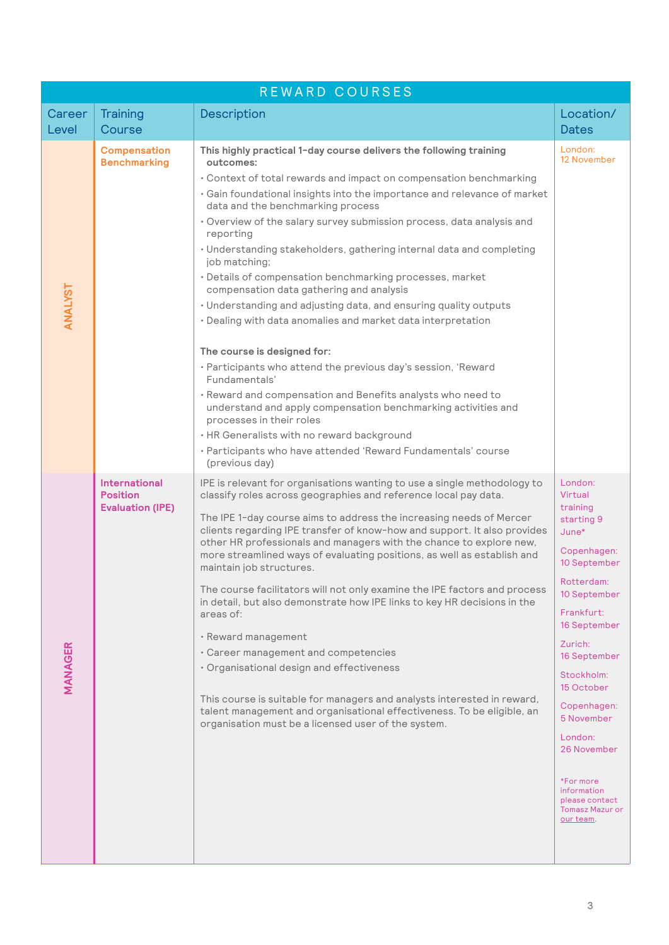| REWARD COURSES |                                                                    |                                                                                                                                                                                                                                                                                                                                                                                                                                                                                                                                                                                                                                                                                                                                                                                                                                                                                                                                                                                                                                                                                                                 |                                                                                                                                                                                                                                                                                                                                                |
|----------------|--------------------------------------------------------------------|-----------------------------------------------------------------------------------------------------------------------------------------------------------------------------------------------------------------------------------------------------------------------------------------------------------------------------------------------------------------------------------------------------------------------------------------------------------------------------------------------------------------------------------------------------------------------------------------------------------------------------------------------------------------------------------------------------------------------------------------------------------------------------------------------------------------------------------------------------------------------------------------------------------------------------------------------------------------------------------------------------------------------------------------------------------------------------------------------------------------|------------------------------------------------------------------------------------------------------------------------------------------------------------------------------------------------------------------------------------------------------------------------------------------------------------------------------------------------|
| Career         | Training                                                           | Description                                                                                                                                                                                                                                                                                                                                                                                                                                                                                                                                                                                                                                                                                                                                                                                                                                                                                                                                                                                                                                                                                                     | Location/                                                                                                                                                                                                                                                                                                                                      |
| Level          | Course                                                             |                                                                                                                                                                                                                                                                                                                                                                                                                                                                                                                                                                                                                                                                                                                                                                                                                                                                                                                                                                                                                                                                                                                 | <b>Dates</b>                                                                                                                                                                                                                                                                                                                                   |
| ANALYST        | <b>Compensation</b><br><b>Benchmarking</b>                         | This highly practical 1-day course delivers the following training<br>outcomes:<br>• Context of total rewards and impact on compensation benchmarking<br>· Gain foundational insights into the importance and relevance of market<br>data and the benchmarking process<br>· Overview of the salary survey submission process, data analysis and<br>reporting<br>· Understanding stakeholders, gathering internal data and completing<br>job matching;<br>· Details of compensation benchmarking processes, market<br>compensation data gathering and analysis<br>· Understanding and adjusting data, and ensuring quality outputs<br>· Dealing with data anomalies and market data interpretation<br>The course is designed for:<br>· Participants who attend the previous day's session, 'Reward<br>Fundamentals'<br>· Reward and compensation and Benefits analysts who need to<br>understand and apply compensation benchmarking activities and<br>processes in their roles<br>• HR Generalists with no reward background<br>· Participants who have attended 'Reward Fundamentals' course<br>(previous day) | London:<br>12 November                                                                                                                                                                                                                                                                                                                         |
| <b>MANAGER</b> | <b>International</b><br><b>Position</b><br><b>Evaluation (IPE)</b> | IPE is relevant for organisations wanting to use a single methodology to<br>classify roles across geographies and reference local pay data.<br>The IPE 1-day course aims to address the increasing needs of Mercer<br>clients regarding IPE transfer of know-how and support. It also provides<br>other HR professionals and managers with the chance to explore new,<br>more streamlined ways of evaluating positions, as well as establish and<br>maintain job structures.<br>The course facilitators will not only examine the IPE factors and process<br>in detail, but also demonstrate how IPE links to key HR decisions in the<br>areas of:<br>· Reward management<br>· Career management and competencies<br>· Organisational design and effectiveness<br>This course is suitable for managers and analysts interested in reward,<br>talent management and organisational effectiveness. To be eligible, an<br>organisation must be a licensed user of the system.                                                                                                                                      | London:<br>Virtual<br>training<br>starting 9<br>$June*$<br>Copenhagen:<br>10 September<br>Rotterdam:<br>10 September<br>Frankfurt:<br>16 September<br>Zurich:<br>16 September<br>Stockholm:<br>15 October<br>Copenhagen:<br>5 November<br>London:<br>26 November<br>*For more<br>information<br>please contact<br>Tomasz Mazur or<br>our team. |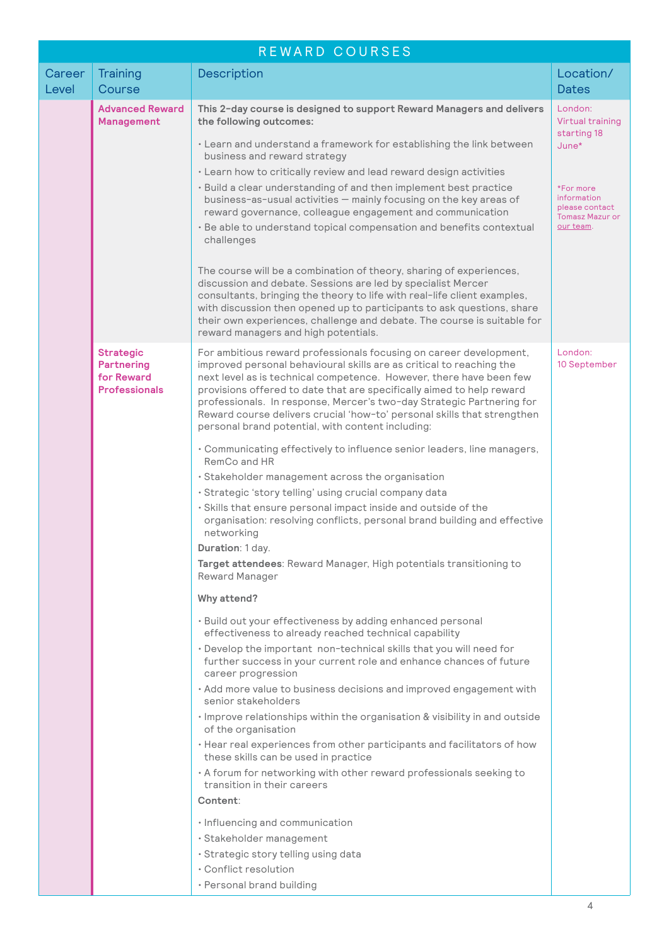| REWARD COURSES  |                                                                             |                                                                                                                                                                                                                                                                                                                                                                                                                                                                                                     |                                                                                   |
|-----------------|-----------------------------------------------------------------------------|-----------------------------------------------------------------------------------------------------------------------------------------------------------------------------------------------------------------------------------------------------------------------------------------------------------------------------------------------------------------------------------------------------------------------------------------------------------------------------------------------------|-----------------------------------------------------------------------------------|
| Career<br>Level | Training<br>Course                                                          | <b>Description</b>                                                                                                                                                                                                                                                                                                                                                                                                                                                                                  | Location/<br><b>Dates</b>                                                         |
|                 | <b>Advanced Reward</b><br><b>Management</b>                                 | This 2-day course is designed to support Reward Managers and delivers<br>the following outcomes:                                                                                                                                                                                                                                                                                                                                                                                                    | London:<br>Virtual training<br>starting 18<br>June*                               |
|                 |                                                                             | • Learn and understand a framework for establishing the link between<br>business and reward strategy                                                                                                                                                                                                                                                                                                                                                                                                |                                                                                   |
|                 |                                                                             | · Learn how to critically review and lead reward design activities<br>· Build a clear understanding of and then implement best practice<br>business-as-usual activities - mainly focusing on the key areas of<br>reward governance, colleague engagement and communication<br>· Be able to understand topical compensation and benefits contextual<br>challenges                                                                                                                                    | *For more<br>information<br>please contact<br><b>Tomasz Mazur or</b><br>our team. |
|                 |                                                                             | The course will be a combination of theory, sharing of experiences,<br>discussion and debate. Sessions are led by specialist Mercer<br>consultants, bringing the theory to life with real-life client examples,<br>with discussion then opened up to participants to ask questions, share<br>their own experiences, challenge and debate. The course is suitable for<br>reward managers and high potentials.                                                                                        |                                                                                   |
|                 | <b>Strategic</b><br><b>Partnering</b><br>for Reward<br><b>Professionals</b> | For ambitious reward professionals focusing on career development,<br>improved personal behavioural skills are as critical to reaching the<br>next level as is technical competence. However, there have been few<br>provisions offered to date that are specifically aimed to help reward<br>professionals. In response, Mercer's two-day Strategic Partnering for<br>Reward course delivers crucial 'how-to' personal skills that strengthen<br>personal brand potential, with content including: | London:<br>10 September                                                           |
|                 |                                                                             | • Communicating effectively to influence senior leaders, line managers,<br>RemCo and HR                                                                                                                                                                                                                                                                                                                                                                                                             |                                                                                   |
|                 |                                                                             | · Stakeholder management across the organisation                                                                                                                                                                                                                                                                                                                                                                                                                                                    |                                                                                   |
|                 |                                                                             | · Strategic 'story telling' using crucial company data                                                                                                                                                                                                                                                                                                                                                                                                                                              |                                                                                   |
|                 |                                                                             | · Skills that ensure personal impact inside and outside of the<br>organisation: resolving conflicts, personal brand building and effective<br>networking                                                                                                                                                                                                                                                                                                                                            |                                                                                   |
|                 |                                                                             | Duration: 1 day.                                                                                                                                                                                                                                                                                                                                                                                                                                                                                    |                                                                                   |
|                 |                                                                             | Target attendees: Reward Manager, High potentials transitioning to<br>Reward Manager                                                                                                                                                                                                                                                                                                                                                                                                                |                                                                                   |
|                 |                                                                             | Why attend?                                                                                                                                                                                                                                                                                                                                                                                                                                                                                         |                                                                                   |
|                 |                                                                             | · Build out your effectiveness by adding enhanced personal<br>effectiveness to already reached technical capability                                                                                                                                                                                                                                                                                                                                                                                 |                                                                                   |
|                 |                                                                             | . Develop the important non-technical skills that you will need for<br>further success in your current role and enhance chances of future<br>career progression                                                                                                                                                                                                                                                                                                                                     |                                                                                   |
|                 |                                                                             | · Add more value to business decisions and improved engagement with<br>senior stakeholders                                                                                                                                                                                                                                                                                                                                                                                                          |                                                                                   |
|                 |                                                                             | · Improve relationships within the organisation & visibility in and outside<br>of the organisation                                                                                                                                                                                                                                                                                                                                                                                                  |                                                                                   |
|                 |                                                                             | · Hear real experiences from other participants and facilitators of how<br>these skills can be used in practice                                                                                                                                                                                                                                                                                                                                                                                     |                                                                                   |
|                 |                                                                             | • A forum for networking with other reward professionals seeking to<br>transition in their careers<br>Content:                                                                                                                                                                                                                                                                                                                                                                                      |                                                                                   |
|                 |                                                                             |                                                                                                                                                                                                                                                                                                                                                                                                                                                                                                     |                                                                                   |
|                 |                                                                             | · Influencing and communication                                                                                                                                                                                                                                                                                                                                                                                                                                                                     |                                                                                   |
|                 |                                                                             | · Stakeholder management                                                                                                                                                                                                                                                                                                                                                                                                                                                                            |                                                                                   |
|                 |                                                                             | · Strategic story telling using data                                                                                                                                                                                                                                                                                                                                                                                                                                                                |                                                                                   |
|                 |                                                                             | • Conflict resolution                                                                                                                                                                                                                                                                                                                                                                                                                                                                               |                                                                                   |
|                 |                                                                             | · Personal brand building                                                                                                                                                                                                                                                                                                                                                                                                                                                                           |                                                                                   |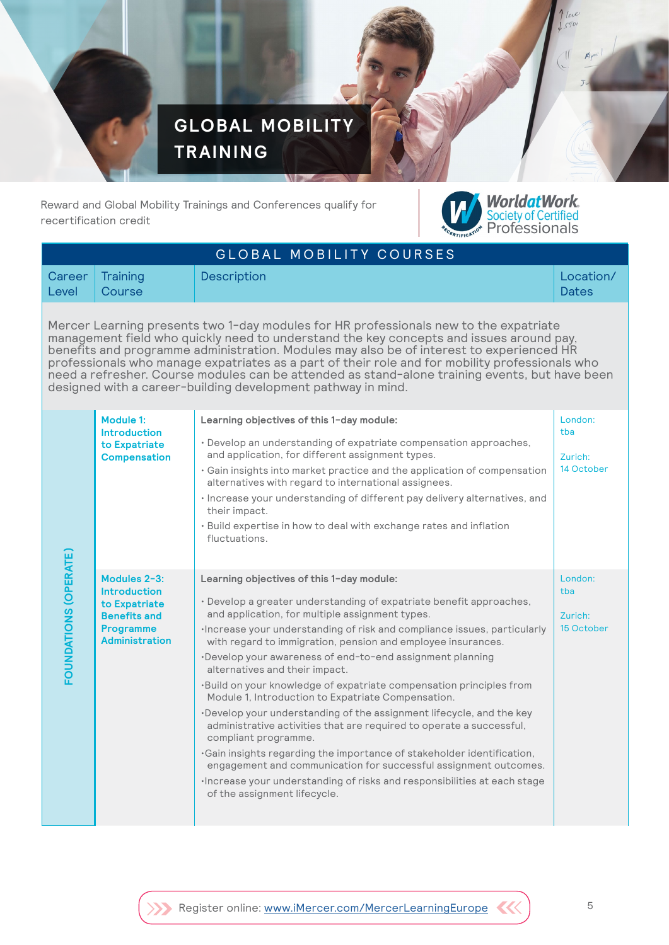

Reward and Global Mobility Trainings and Conferences qualify for recertification credit



| GLOBAL MOBILITY COURSES                                                                                                                                                                                                                                                                                                                                                                                                                                                                                                                           |                                                                                                                          |                                                                                                                                                                                                                                                                                                                                                                                                                                                                                                                                                                                                                                                                                                                                                                                                                                                                                                                                                                               |                                         |
|---------------------------------------------------------------------------------------------------------------------------------------------------------------------------------------------------------------------------------------------------------------------------------------------------------------------------------------------------------------------------------------------------------------------------------------------------------------------------------------------------------------------------------------------------|--------------------------------------------------------------------------------------------------------------------------|-------------------------------------------------------------------------------------------------------------------------------------------------------------------------------------------------------------------------------------------------------------------------------------------------------------------------------------------------------------------------------------------------------------------------------------------------------------------------------------------------------------------------------------------------------------------------------------------------------------------------------------------------------------------------------------------------------------------------------------------------------------------------------------------------------------------------------------------------------------------------------------------------------------------------------------------------------------------------------|-----------------------------------------|
| Career<br>Level                                                                                                                                                                                                                                                                                                                                                                                                                                                                                                                                   | Training<br>Course                                                                                                       | Description                                                                                                                                                                                                                                                                                                                                                                                                                                                                                                                                                                                                                                                                                                                                                                                                                                                                                                                                                                   | Location/<br><b>Dates</b>               |
| Mercer Learning presents two 1-day modules for HR professionals new to the expatriate<br>management field who quickly need to understand the key concepts and issues around pay,<br>benefits and programme administration. Modules may also be of interest to experienced HR<br>professionals who manage expatriates as a part of their role and for mobility professionals who<br>need a refresher. Course modules can be attended as stand-alone training events, but have been<br>designed with a career-building development pathway in mind. |                                                                                                                          |                                                                                                                                                                                                                                                                                                                                                                                                                                                                                                                                                                                                                                                                                                                                                                                                                                                                                                                                                                               |                                         |
| FOUNDATIONS (OPERATE)                                                                                                                                                                                                                                                                                                                                                                                                                                                                                                                             | Module 1:<br><b>Introduction</b><br>to Expatriate<br><b>Compensation</b>                                                 | Learning objectives of this 1-day module:<br>· Develop an understanding of expatriate compensation approaches,<br>and application, for different assignment types.<br>• Gain insights into market practice and the application of compensation<br>alternatives with regard to international assignees.<br>· Increase your understanding of different pay delivery alternatives, and<br>their impact.<br>• Build expertise in how to deal with exchange rates and inflation<br>fluctuations.                                                                                                                                                                                                                                                                                                                                                                                                                                                                                   | London:<br>tba<br>Zurich:<br>14 October |
|                                                                                                                                                                                                                                                                                                                                                                                                                                                                                                                                                   | Modules 2-3:<br><b>Introduction</b><br>to Expatriate<br><b>Benefits and</b><br><b>Programme</b><br><b>Administration</b> | Learning objectives of this 1-day module:<br>· Develop a greater understanding of expatriate benefit approaches,<br>and application, for multiple assignment types.<br>·Increase your understanding of risk and compliance issues, particularly<br>with regard to immigration, pension and employee insurances.<br>·Develop your awareness of end-to-end assignment planning<br>alternatives and their impact.<br>.Build on your knowledge of expatriate compensation principles from<br>Module 1, Introduction to Expatriate Compensation.<br>·Develop your understanding of the assignment lifecycle, and the key<br>administrative activities that are required to operate a successful,<br>compliant programme.<br>.Gain insights regarding the importance of stakeholder identification,<br>engagement and communication for successful assignment outcomes.<br>·Increase your understanding of risks and responsibilities at each stage<br>of the assignment lifecycle. | London:<br>tba<br>Zurich:<br>15 October |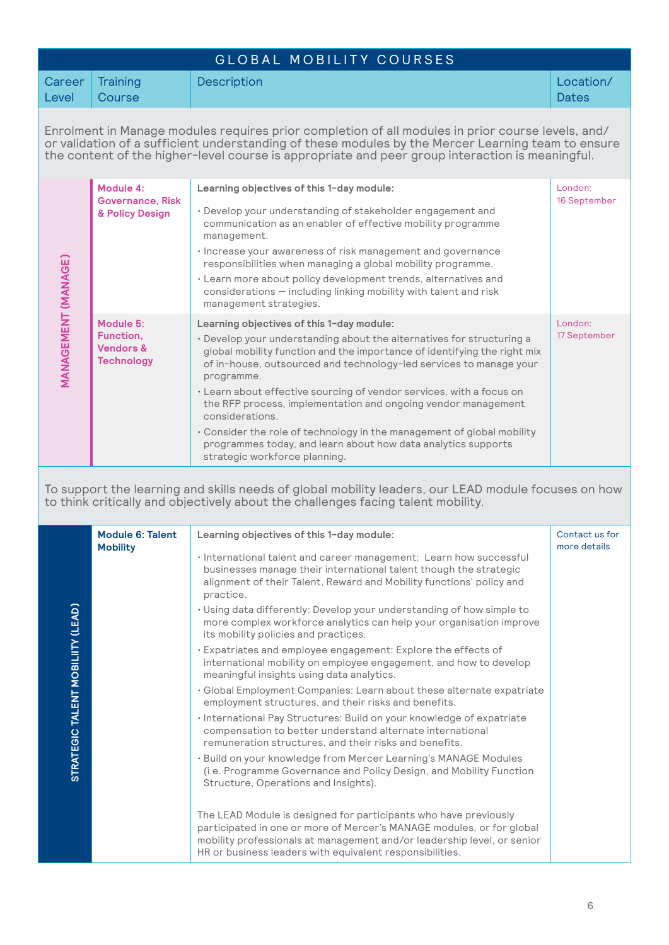|                                                                                                                                                                                                                                                                                                            | GLOBAL MOBILITY COURSES                                             |                                                                                                                                                                                                                                                                                                                                                                                                                                                                                                                                                                                                                                                                                                                                                                                                                                                                                                                                                                                                                                                                                                                                                                                                                                             |                                |  |
|------------------------------------------------------------------------------------------------------------------------------------------------------------------------------------------------------------------------------------------------------------------------------------------------------------|---------------------------------------------------------------------|---------------------------------------------------------------------------------------------------------------------------------------------------------------------------------------------------------------------------------------------------------------------------------------------------------------------------------------------------------------------------------------------------------------------------------------------------------------------------------------------------------------------------------------------------------------------------------------------------------------------------------------------------------------------------------------------------------------------------------------------------------------------------------------------------------------------------------------------------------------------------------------------------------------------------------------------------------------------------------------------------------------------------------------------------------------------------------------------------------------------------------------------------------------------------------------------------------------------------------------------|--------------------------------|--|
| Career<br>Level                                                                                                                                                                                                                                                                                            | Training<br>Course                                                  | Description                                                                                                                                                                                                                                                                                                                                                                                                                                                                                                                                                                                                                                                                                                                                                                                                                                                                                                                                                                                                                                                                                                                                                                                                                                 | Location/<br><b>Dates</b>      |  |
| Enrolment in Manage modules requires prior completion of all modules in prior course levels, and/<br>or validation of a sufficient understanding of these modules by the Mercer Learning team to ensure<br>the content of the higher-level course is appropriate and peer group interaction is meaningful. |                                                                     |                                                                                                                                                                                                                                                                                                                                                                                                                                                                                                                                                                                                                                                                                                                                                                                                                                                                                                                                                                                                                                                                                                                                                                                                                                             |                                |  |
| <b>MANAGEMENT (MANAGE)</b>                                                                                                                                                                                                                                                                                 | Module 4:<br><b>Governance, Risk</b><br>& Policy Design             | Learning objectives of this 1-day module:<br>· Develop your understanding of stakeholder engagement and<br>communication as an enabler of effective mobility programme<br>management.<br>· Increase your awareness of risk management and governance<br>responsibilities when managing a global mobility programme.<br>• Learn more about policy development trends, alternatives and<br>considerations - including linking mobility with talent and risk<br>management strategies.                                                                                                                                                                                                                                                                                                                                                                                                                                                                                                                                                                                                                                                                                                                                                         | London:<br>16 September        |  |
|                                                                                                                                                                                                                                                                                                            | Module 5:<br>Function,<br><b>Vendors &amp;</b><br><b>Technology</b> | Learning objectives of this 1-day module:<br>• Develop your understanding about the alternatives for structuring a<br>global mobility function and the importance of identifying the right mix<br>of in-house, outsourced and technology-led services to manage your<br>programme.<br>• Learn about effective sourcing of vendor services, with a focus on<br>the RFP process, implementation and ongoing vendor management<br>considerations.<br>• Consider the role of technology in the management of global mobility<br>programmes today, and learn about how data analytics supports<br>strategic workforce planning.                                                                                                                                                                                                                                                                                                                                                                                                                                                                                                                                                                                                                  | London:<br>17 September        |  |
| To support the learning and skills needs of global mobility leaders, our LEAD module focuses on how<br>to think critically and objectively about the challenges facing talent mobility.                                                                                                                    |                                                                     |                                                                                                                                                                                                                                                                                                                                                                                                                                                                                                                                                                                                                                                                                                                                                                                                                                                                                                                                                                                                                                                                                                                                                                                                                                             |                                |  |
| STRATEGIC TALENT MOBILIITY (LEAD)                                                                                                                                                                                                                                                                          | <b>Module 6: Talent</b><br><b>Mobility</b>                          | Learning objectives of this 1-day module:<br>· International talent and career management: Learn how successful<br>businesses manage their international talent though the strategic<br>alignment of their Talent, Reward and Mobility functions' policy and<br>practice.<br>· Using data differently: Develop your understanding of how simple to<br>more complex workforce analytics can help your organisation improve<br>its mobility policies and practices.<br>· Expatriates and employee engagement: Explore the effects of<br>international mobility on employee engagement, and how to develop<br>meaningful insights using data analytics.<br>· Global Employment Companies: Learn about these alternate expatriate<br>employment structures, and their risks and benefits.<br>· International Pay Structures: Build on your knowledge of expatriate<br>compensation to better understand alternate international<br>remuneration structures, and their risks and benefits.<br>· Build on your knowledge from Mercer Learning's MANAGE Modules<br>(i.e. Programme Governance and Policy Design, and Mobility Function<br>Structure, Operations and Insights).<br>The LEAD Module is designed for participants who have previously | Contact us for<br>more details |  |
|                                                                                                                                                                                                                                                                                                            |                                                                     | participated in one or more of Mercer's MANAGE modules, or for global<br>mobility professionals at management and/or leadership level, or senior<br>HR or business leaders with equivalent responsibilities.                                                                                                                                                                                                                                                                                                                                                                                                                                                                                                                                                                                                                                                                                                                                                                                                                                                                                                                                                                                                                                |                                |  |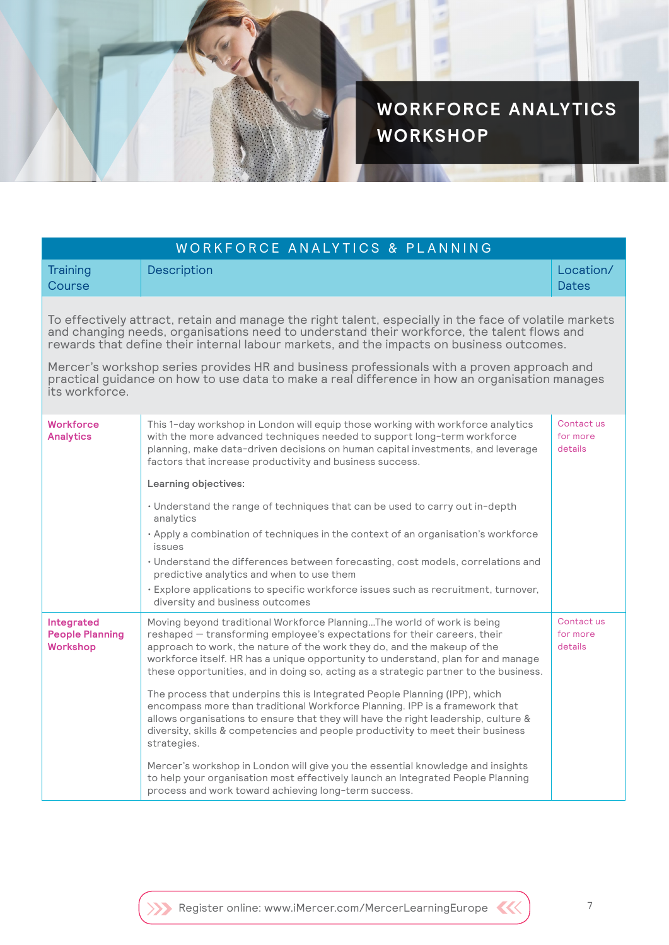

**WORKFORCE ANALYTICS WORKSHOP**

| WORKFORCE ANALYTICS & PLANNING                                                                                                                                                                                                                                                                   |                                                                                                                                                                                                                                                                                                                                                                                                           |                                   |  |
|--------------------------------------------------------------------------------------------------------------------------------------------------------------------------------------------------------------------------------------------------------------------------------------------------|-----------------------------------------------------------------------------------------------------------------------------------------------------------------------------------------------------------------------------------------------------------------------------------------------------------------------------------------------------------------------------------------------------------|-----------------------------------|--|
| Training<br>Course                                                                                                                                                                                                                                                                               | Description                                                                                                                                                                                                                                                                                                                                                                                               | Location/<br><b>Dates</b>         |  |
| To effectively attract, retain and manage the right talent, especially in the face of volatile markets<br>and changing needs, organisations need to understand their workforce, the talent flows and<br>rewards that define their internal labour markets, and the impacts on business outcomes. |                                                                                                                                                                                                                                                                                                                                                                                                           |                                   |  |
| Mercer's workshop series provides HR and business professionals with a proven approach and<br>practical guidance on how to use data to make a real difference in how an organisation manages<br>its workforce.                                                                                   |                                                                                                                                                                                                                                                                                                                                                                                                           |                                   |  |
| <b>Workforce</b><br><b>Analytics</b>                                                                                                                                                                                                                                                             | This 1-day workshop in London will equip those working with workforce analytics<br>with the more advanced techniques needed to support long-term workforce<br>planning, make data-driven decisions on human capital investments, and leverage<br>factors that increase productivity and business success.                                                                                                 | Contact us<br>for more<br>details |  |
|                                                                                                                                                                                                                                                                                                  | Learning objectives:                                                                                                                                                                                                                                                                                                                                                                                      |                                   |  |
|                                                                                                                                                                                                                                                                                                  | · Understand the range of techniques that can be used to carry out in-depth<br>analytics                                                                                                                                                                                                                                                                                                                  |                                   |  |
|                                                                                                                                                                                                                                                                                                  | · Apply a combination of techniques in the context of an organisation's workforce<br>issues                                                                                                                                                                                                                                                                                                               |                                   |  |
|                                                                                                                                                                                                                                                                                                  | · Understand the differences between forecasting, cost models, correlations and<br>predictive analytics and when to use them                                                                                                                                                                                                                                                                              |                                   |  |
|                                                                                                                                                                                                                                                                                                  | · Explore applications to specific workforce issues such as recruitment, turnover,<br>diversity and business outcomes                                                                                                                                                                                                                                                                                     |                                   |  |
| Integrated<br><b>People Planning</b><br><b>Workshop</b>                                                                                                                                                                                                                                          | Moving beyond traditional Workforce PlanningThe world of work is being<br>reshaped - transforming employee's expectations for their careers, their<br>approach to work, the nature of the work they do, and the makeup of the<br>workforce itself. HR has a unique opportunity to understand, plan for and manage<br>these opportunities, and in doing so, acting as a strategic partner to the business. | Contact us<br>for more<br>details |  |
|                                                                                                                                                                                                                                                                                                  | The process that underpins this is Integrated People Planning (IPP), which<br>encompass more than traditional Workforce Planning. IPP is a framework that<br>allows organisations to ensure that they will have the right leadership, culture &<br>diversity, skills & competencies and people productivity to meet their business<br>strategies.                                                         |                                   |  |
|                                                                                                                                                                                                                                                                                                  | Mercer's workshop in London will give you the essential knowledge and insights<br>to help your organisation most effectively launch an Integrated People Planning<br>process and work toward achieving long-term success.                                                                                                                                                                                 |                                   |  |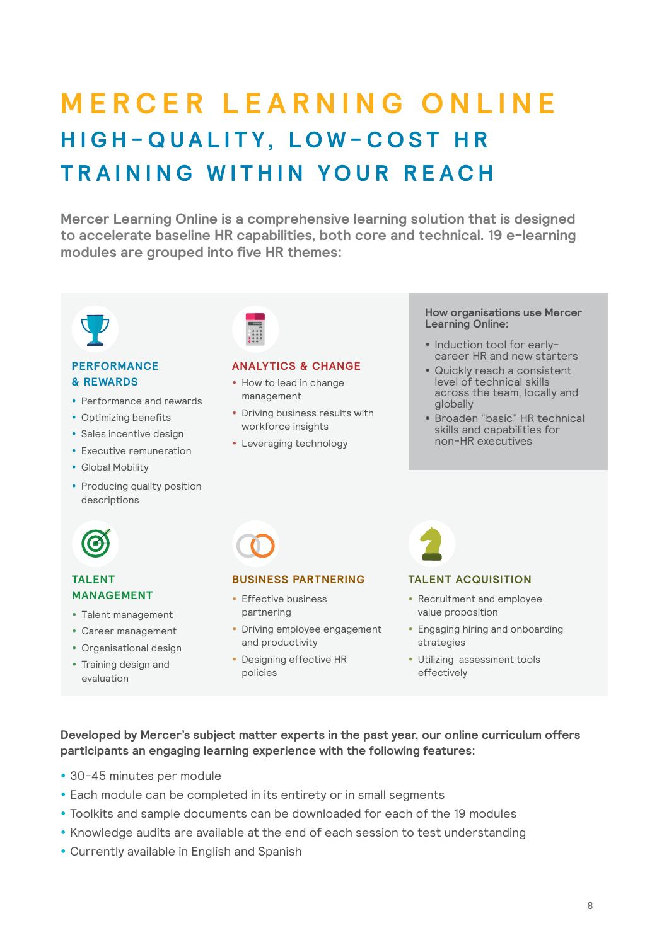## **MERCER LEARNING ONLINE H I G H - Q U A L I T Y , L O W - C O S T H R TRAINING WITHIN YOUR REACH**

**Mercer Learning Online is a comprehensive learning solution that is designed to accelerate baseline HR capabilities, both core and technical. 19 e-learning modules are grouped into five HR themes:**



#### **PERFORMANCE & REWARDS**

- Performance and rewards
- Optimizing benefits
- Sales incentive design
- Executive remuneration
- Global Mobility
- Producing quality position descriptions



#### **ANALYTICS & CHANGE**

- How to lead in change management
- Driving business results with workforce insights
- Leveraging technology

#### **How organisations use Mercer Learning Online:**

- Induction tool for earlycareer HR and new starters
- Quickly reach a consistent level of technical skills across the team, locally and globally
- Broaden "basic" HR technical skills and capabilities for non-HR executives



#### **TALENT MANAGEMENT**

- Talent management
- Career management
- Organisational design
- Training design and
- evaluation

#### **BUSINESS PARTNERING**

- Effective business partnering
- Driving employee engagement and productivity
- Designing effective HR policies

#### **TALENT ACQUISITION**

- Recruitment and employee value proposition
- Engaging hiring and onboarding strategies
- Utilizing assessment tools effectively

**Developed by Mercer's subject matter experts in the past year, our online curriculum offers participants an engaging learning experience with the following features:**

- 30-45 minutes per module
- Each module can be completed in its entirety or in small segments
- Toolkits and sample documents can be downloaded for each of the 19 modules
- Knowledge audits are available at the end of each session to test understanding
- Currently available in English and Spanish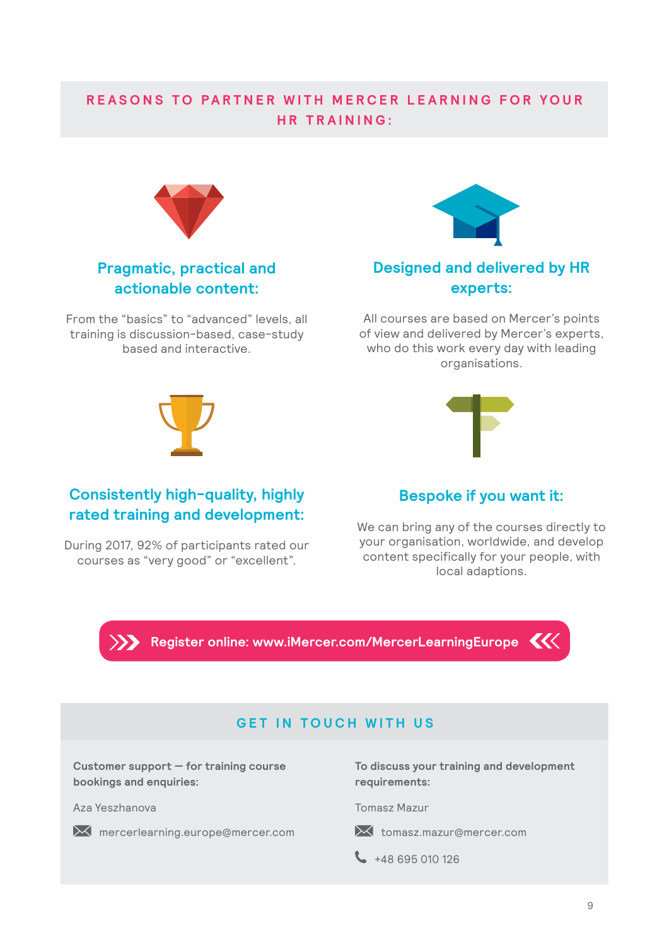## **REASONS TO PARTNER WITH MERCER LEARNING FOR YOUR HR TRAINING:**



## **Pragmatic, practical and actionable content:**

From the "basics" to "advanced" levels, all training is discussion-based, case-study based and interactive.



## **Designed and delivered by HR experts:**

All courses are based on Mercer's points of view and delivered by Mercer's experts, who do this work every day with leading organisations.



**Consistently high-quality, highly rated training and development:**

During 2017, 92% of participants rated our courses as "very good" or "excellent".



## **Bespoke if you want it:**

We can bring any of the courses directly to your organisation, worldwide, and develop content specifically for your people, with local adaptions.



**[Register online: www.iMercer.com/MercerLearningEurope](http://www.iMercer.com/MercerLearningEurope)** 

### **GET IN TOUCH WITH US**

**Customer support — for training course bookings and enquiries:**

Aza Yeszhanova Tomasz Mazur

 $\mathbb{\times}$  [mercerlearning.europe@mercer.com](mailto:mercerlearning.europe%40mercer.com?subject=)  $\mathbb{\times}$  tomasz.mazur@mercer.com

**To discuss your training and development requirements:**

 $\leftarrow$  +48 695 010 126